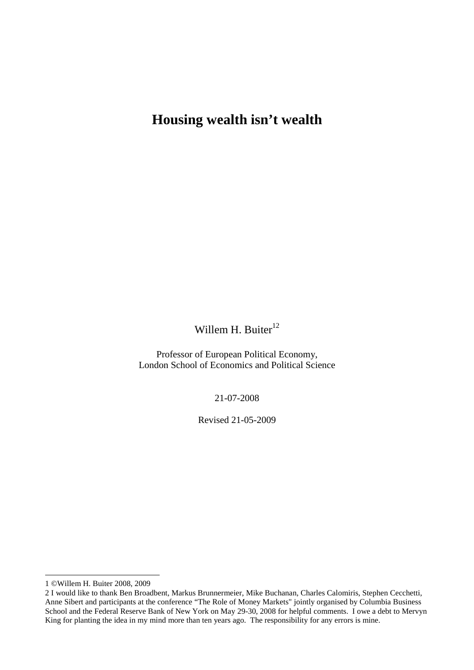# **Housing wealth isn't wealth**

Willem H. Buiter $12$ 

Professor of European Political Economy, London School of Economics and Political Science

21-07-2008

Revised 21-05-2009

 $\overline{a}$ 

<sup>1 ©</sup>Willem H. Buiter 2008, 2009

<sup>2</sup> I would like to thank Ben Broadbent, Markus Brunnermeier, Mike Buchanan, Charles Calomiris, Stephen Cecchetti, Anne Sibert and participants at the conference "The Role of Money Markets" jointly organised by Columbia Business School and the Federal Reserve Bank of New York on May 29-30, 2008 for helpful comments. I owe a debt to Mervyn King for planting the idea in my mind more than ten years ago. The responsibility for any errors is mine.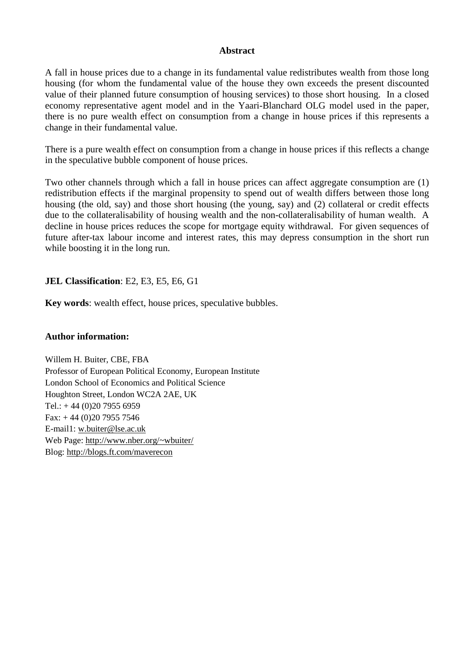### **Abstract**

A fall in house prices due to a change in its fundamental value redistributes wealth from those long housing (for whom the fundamental value of the house they own exceeds the present discounted value of their planned future consumption of housing services) to those short housing. In a closed economy representative agent model and in the Yaari-Blanchard OLG model used in the paper, there is no pure wealth effect on consumption from a change in house prices if this represents a change in their fundamental value.

There is a pure wealth effect on consumption from a change in house prices if this reflects a change in the speculative bubble component of house prices.

Two other channels through which a fall in house prices can affect aggregate consumption are (1) redistribution effects if the marginal propensity to spend out of wealth differs between those long housing (the old, say) and those short housing (the young, say) and (2) collateral or credit effects due to the collateralisability of housing wealth and the non-collateralisability of human wealth. A decline in house prices reduces the scope for mortgage equity withdrawal. For given sequences of future after-tax labour income and interest rates, this may depress consumption in the short run while boosting it in the long run.

**JEL Classification**: E2, E3, E5, E6, G1

**Key words**: wealth effect, house prices, speculative bubbles.

### **Author information:**

Willem H. Buiter, CBE, FBA Professor of European Political Economy, European Institute London School of Economics and Political Science Houghton Street, London WC2A 2AE, UK Tel.:  $+ 44 (0)20 7955 6959$ Fax:  $+ 44 (0)20 7955 7546$ E-mail1: w.buiter@lse.ac.uk Web Page: http://www.nber.org/~wbuiter/ Blog: http://blogs.ft.com/maverecon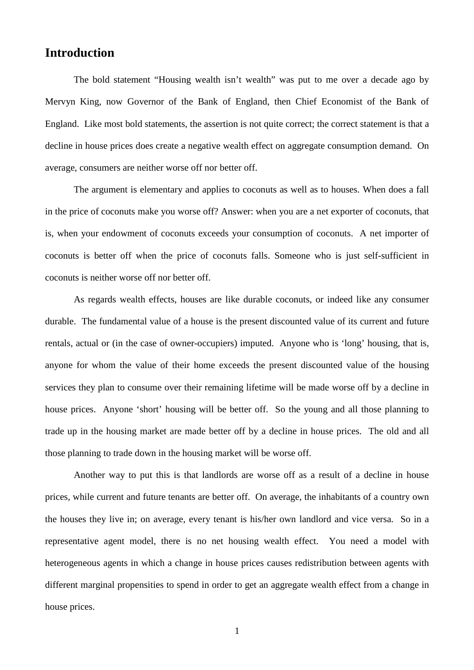# **Introduction**

The bold statement "Housing wealth isn't wealth" was put to me over a decade ago by Mervyn King, now Governor of the Bank of England, then Chief Economist of the Bank of England. Like most bold statements, the assertion is not quite correct; the correct statement is that a decline in house prices does create a negative wealth effect on aggregate consumption demand. On average, consumers are neither worse off nor better off.

The argument is elementary and applies to coconuts as well as to houses. When does a fall in the price of coconuts make you worse off? Answer: when you are a net exporter of coconuts, that is, when your endowment of coconuts exceeds your consumption of coconuts. A net importer of coconuts is better off when the price of coconuts falls. Someone who is just self-sufficient in coconuts is neither worse off nor better off.

As regards wealth effects, houses are like durable coconuts, or indeed like any consumer durable. The fundamental value of a house is the present discounted value of its current and future rentals, actual or (in the case of owner-occupiers) imputed. Anyone who is 'long' housing, that is, anyone for whom the value of their home exceeds the present discounted value of the housing services they plan to consume over their remaining lifetime will be made worse off by a decline in house prices. Anyone 'short' housing will be better off. So the young and all those planning to trade up in the housing market are made better off by a decline in house prices. The old and all those planning to trade down in the housing market will be worse off.

Another way to put this is that landlords are worse off as a result of a decline in house prices, while current and future tenants are better off. On average, the inhabitants of a country own the houses they live in; on average, every tenant is his/her own landlord and vice versa. So in a representative agent model, there is no net housing wealth effect. You need a model with heterogeneous agents in which a change in house prices causes redistribution between agents with different marginal propensities to spend in order to get an aggregate wealth effect from a change in house prices.

1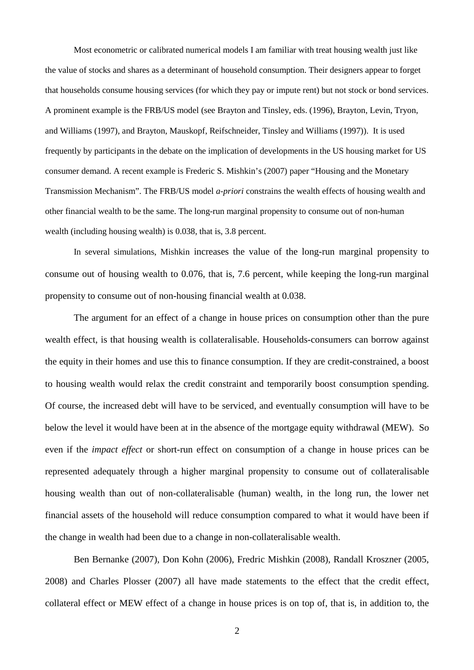Most econometric or calibrated numerical models I am familiar with treat housing wealth just like the value of stocks and shares as a determinant of household consumption. Their designers appear to forget that households consume housing services (for which they pay or impute rent) but not stock or bond services. A prominent example is the FRB/US model (see Brayton and Tinsley, eds. (1996), Brayton, Levin, Tryon, and Williams (1997), and Brayton, Mauskopf, Reifschneider, Tinsley and Williams (1997)). It is used frequently by participants in the debate on the implication of developments in the US housing market for US consumer demand. A recent example is Frederic S. Mishkin's (2007) paper "Housing and the Monetary Transmission Mechanism". The FRB/US model *a-priori* constrains the wealth effects of housing wealth and other financial wealth to be the same. The long-run marginal propensity to consume out of non-human wealth (including housing wealth) is 0.038, that is, 3.8 percent.

In several simulations, Mishkin increases the value of the long-run marginal propensity to consume out of housing wealth to 0.076, that is, 7.6 percent, while keeping the long-run marginal propensity to consume out of non-housing financial wealth at 0.038.

The argument for an effect of a change in house prices on consumption other than the pure wealth effect, is that housing wealth is collateralisable. Households-consumers can borrow against the equity in their homes and use this to finance consumption. If they are credit-constrained, a boost to housing wealth would relax the credit constraint and temporarily boost consumption spending. Of course, the increased debt will have to be serviced, and eventually consumption will have to be below the level it would have been at in the absence of the mortgage equity withdrawal (MEW). So even if the *impact effect* or short-run effect on consumption of a change in house prices can be represented adequately through a higher marginal propensity to consume out of collateralisable housing wealth than out of non-collateralisable (human) wealth, in the long run, the lower net financial assets of the household will reduce consumption compared to what it would have been if the change in wealth had been due to a change in non-collateralisable wealth.

Ben Bernanke (2007), Don Kohn (2006), Fredric Mishkin (2008), Randall Kroszner (2005, 2008) and Charles Plosser (2007) all have made statements to the effect that the credit effect, collateral effect or MEW effect of a change in house prices is on top of, that is, in addition to, the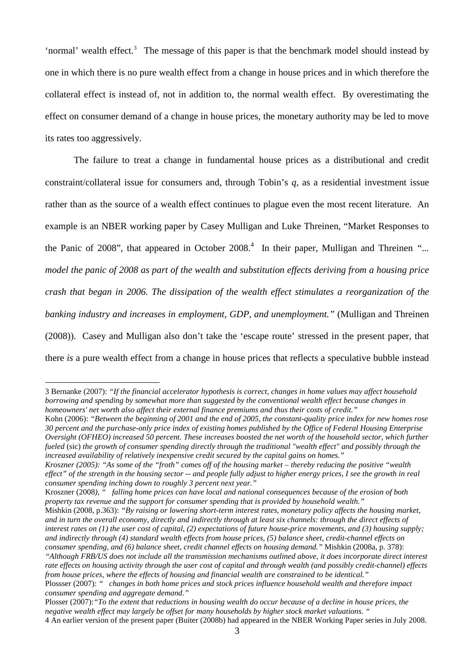'normal' wealth effect.<sup>3</sup> The message of this paper is that the benchmark model should instead by one in which there is no pure wealth effect from a change in house prices and in which therefore the collateral effect is instead of, not in addition to, the normal wealth effect. By overestimating the effect on consumer demand of a change in house prices, the monetary authority may be led to move its rates too aggressively.

The failure to treat a change in fundamental house prices as a distributional and credit constraint/collateral issue for consumers and, through Tobin's *q,* as a residential investment issue rather than as the source of a wealth effect continues to plague even the most recent literature. An example is an NBER working paper by Casey Mulligan and Luke Threinen, "Market Responses to the Panic of 2008", that appeared in October 2008.<sup>4</sup> In their paper, Mulligan and Threinen "... *model the panic of 2008 as part of the wealth and substitution effects deriving from a housing price crash that began in 2006. The dissipation of the wealth effect stimulates a reorganization of the banking industry and increases in employment, GDP, and unemployment."* (Mulligan and Threinen (2008)). Casey and Mulligan also don't take the 'escape route' stressed in the present paper, that there *is* a pure wealth effect from a change in house prices that reflects a speculative bubble instead

 $\overline{a}$ 

<sup>3</sup> Bernanke (2007): *"If the financial accelerator hypothesis is correct, changes in home values may affect household borrowing and spending by somewhat more than suggested by the conventional wealth effect because changes in homeowners' net worth also affect their external finance premiums and thus their costs of credit."* 

Kohn (2006): *"Between the beginning of 2001 and the end of 2005, the constant-quality price index for new homes rose 30 percent and the purchase-only price index of existing homes published by the Office of Federal Housing Enterprise Oversight (OFHEO) increased 50 percent. These increases boosted the net worth of the household sector, which further fueled* (sic) *the growth of consumer spending directly through the traditional "wealth effect" and possibly through the increased availability of relatively inexpensive credit secured by the capital gains on homes."* 

*Kroszner (2005):* "*As some of the "froth" comes off of the housing market – thereby reducing the positive "wealth effect" of the strength in the housing sector -- and people fully adjust to higher energy prices, I see the growth in real consumer spending inching down to roughly 3 percent next year."*

Kroszner (2008*), " falling home prices can have local and national consequences because of the erosion of both property tax revenue and the support for consumer spending that is provided by household wealth."*

Mishkin (2008, p.363): *"By raising or lowering short-term interest rates, monetary policy affects the housing market, and in turn the overall economy, directly and indirectly through at least six channels: through the direct effects of interest rates on (1) the user cost of capital, (2) expectations of future house-price movements, and (3) housing supply; and indirectly through (4) standard wealth effects from house prices, (5) balance sheet, credit-channel effects on consumer spending, and (6) balance sheet, credit channel effects on housing demand."* Mishkin (2008a, p. 378):

*<sup>&</sup>quot;Although FRB/US does not include all the transmission mechanisms outlined above, it does incorporate direct interest rate effects on housing activity through the user cost of capital and through wealth (and possibly credit-channel) effects from house prices, where the effects of housing and financial wealth are constrained to be identical."*

Plossser (2007): *" changes in both home prices and stock prices influence household wealth and therefore impact consumer spending and aggregate demand."*

Plosser (2007):*"To the extent that reductions in housing wealth do occur because of a decline in house prices, the negative wealth effect may largely be offset for many households by higher stock market valuations. "*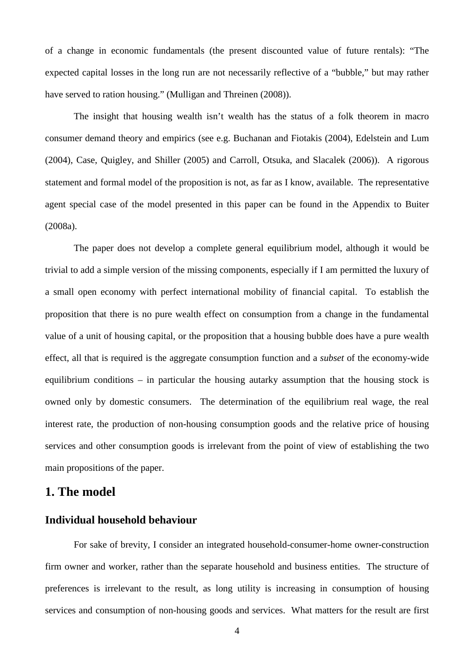of a change in economic fundamentals (the present discounted value of future rentals): "The expected capital losses in the long run are not necessarily reflective of a "bubble," but may rather have served to ration housing." (Mulligan and Threinen (2008)).

The insight that housing wealth isn't wealth has the status of a folk theorem in macro consumer demand theory and empirics (see e.g. Buchanan and Fiotakis (2004), Edelstein and Lum (2004), Case, Quigley, and Shiller (2005) and Carroll, Otsuka, and Slacalek (2006)). A rigorous statement and formal model of the proposition is not, as far as I know, available. The representative agent special case of the model presented in this paper can be found in the Appendix to Buiter (2008a).

The paper does not develop a complete general equilibrium model, although it would be trivial to add a simple version of the missing components, especially if I am permitted the luxury of a small open economy with perfect international mobility of financial capital. To establish the proposition that there is no pure wealth effect on consumption from a change in the fundamental value of a unit of housing capital, or the proposition that a housing bubble does have a pure wealth effect, all that is required is the aggregate consumption function and a *subset* of the economy-wide equilibrium conditions – in particular the housing autarky assumption that the housing stock is owned only by domestic consumers. The determination of the equilibrium real wage, the real interest rate, the production of non-housing consumption goods and the relative price of housing services and other consumption goods is irrelevant from the point of view of establishing the two main propositions of the paper.

# **1. The model**

### **Individual household behaviour**

For sake of brevity, I consider an integrated household-consumer-home owner-construction firm owner and worker, rather than the separate household and business entities. The structure of preferences is irrelevant to the result, as long utility is increasing in consumption of housing services and consumption of non-housing goods and services. What matters for the result are first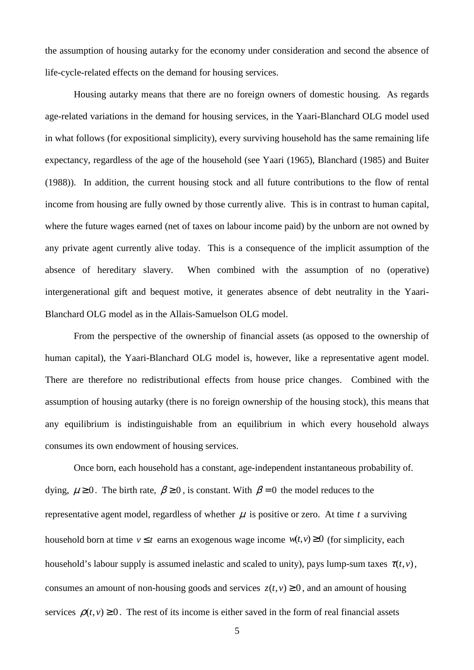the assumption of housing autarky for the economy under consideration and second the absence of life-cycle-related effects on the demand for housing services.

Housing autarky means that there are no foreign owners of domestic housing. As regards age-related variations in the demand for housing services, in the Yaari-Blanchard OLG model used in what follows (for expositional simplicity), every surviving household has the same remaining life expectancy, regardless of the age of the household (see Yaari (1965), Blanchard (1985) and Buiter (1988)). In addition, the current housing stock and all future contributions to the flow of rental income from housing are fully owned by those currently alive. This is in contrast to human capital, where the future wages earned (net of taxes on labour income paid) by the unborn are not owned by any private agent currently alive today. This is a consequence of the implicit assumption of the absence of hereditary slavery. When combined with the assumption of no (operative) intergenerational gift and bequest motive, it generates absence of debt neutrality in the Yaari-Blanchard OLG model as in the Allais-Samuelson OLG model.

From the perspective of the ownership of financial assets (as opposed to the ownership of human capital), the Yaari-Blanchard OLG model is, however, like a representative agent model. There are therefore no redistributional effects from house price changes. Combined with the assumption of housing autarky (there is no foreign ownership of the housing stock), this means that any equilibrium is indistinguishable from an equilibrium in which every household always consumes its own endowment of housing services.

 Once born, each household has a constant, age-independent instantaneous probability of. dying,  $\mu \ge 0$ . The birth rate,  $\beta \ge 0$ , is constant. With  $\beta = 0$  the model reduces to the representative agent model, regardless of whether  $\mu$  is positive or zero. At time  $t$  a surviving household born at time  $v \le t$  earns an exogenous wage income  $w(t, v) \ge 0$  (for simplicity, each household's labour supply is assumed inelastic and scaled to unity), pays lump-sum taxes  $\tau(t, v)$ , consumes an amount of non-housing goods and services  $z(t, v) \ge 0$ , and an amount of housing services  $\rho(t, v) \ge 0$ . The rest of its income is either saved in the form of real financial assets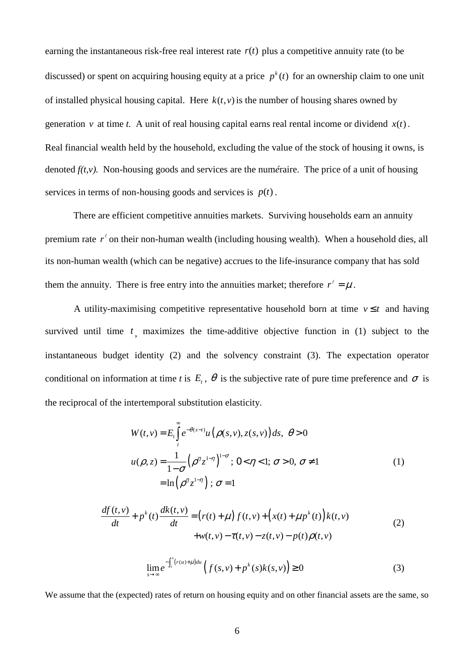earning the instantaneous risk-free real interest rate  $r(t)$  plus a competitive annuity rate (to be discussed) or spent on acquiring housing equity at a price  $p^k(t)$  for an ownership claim to one unit of installed physical housing capital. Here  $k(t, v)$  is the number of housing shares owned by generation *v* at time *t*. A unit of real housing capital earns real rental income or dividend  $x(t)$ . Real financial wealth held by the household, excluding the value of the stock of housing it owns, is denoted *f(t,v).* Non-housing goods and services are the num*é*raire. The price of a unit of housing services in terms of non-housing goods and services is  $p(t)$ .

 There are efficient competitive annuities markets. Surviving households earn an annuity premium rate  $r^{\ell}$  on their non-human wealth (including housing wealth). When a household dies, all its non-human wealth (which can be negative) accrues to the life-insurance company that has sold them the annuity. There is free entry into the annuities market; therefore  $r^{\ell} = \mu$ .

A utility-maximising competitive representative household born at time  $v \leq t$  and having survived until time  $t<sub>1</sub>$ , maximizes the time-additive objective function in (1) subject to the instantaneous budget identity (2) and the solvency constraint (3). The expectation operator conditional on information at time *t* is  $E_t$ ,  $\theta$  is the subjective rate of pure time preference and  $\sigma$  is the reciprocal of the intertemporal substitution elasticity.

$$
W(t, v) = E_t \int_t^{\infty} e^{-\theta(s-t)} u(\rho(s, v), z(s, v)) ds, \ \theta > 0
$$
  

$$
u(\rho, z) = \frac{1}{1 - \sigma} (\rho^{\eta} z^{1 - \eta})^{1 - \sigma}; \ 0 < \eta < 1; \ \sigma > 0, \ \sigma \neq 1
$$
  

$$
= \ln (\rho^{\eta} z^{1 - \eta}); \ \sigma = 1
$$
 (1)

$$
\frac{df(t,v)}{dt} + p^{k}(t)\frac{dk(t,v)}{dt} = (r(t) + \mu) f(t,v) + (x(t) + \mu p^{k}(t)) k(t,v) \n+ w(t,v) - \tau(t,v) - z(t,v) - p(t)\rho(t,v)
$$
\n(2)

$$
\lim_{s \to \infty} e^{-\int_{t}^{s} (r(u) + \mu) du} \left( f(s, v) + p^{k}(s)k(s, v) \right) \ge 0
$$
\n(3)

We assume that the (expected) rates of return on housing equity and on other financial assets are the same, so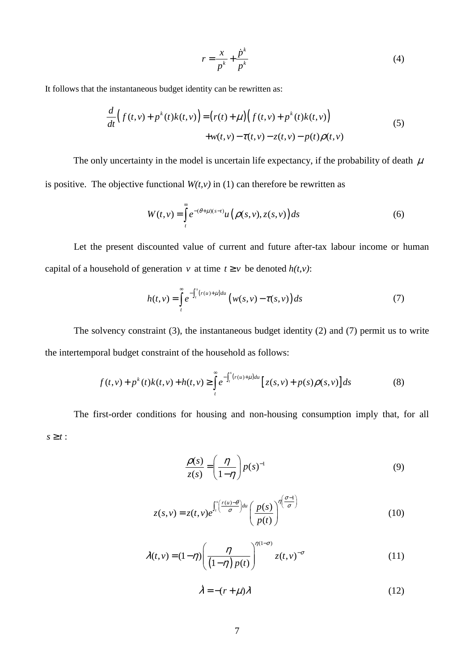$$
r = \frac{x}{p^k} + \frac{\dot{p}^k}{p^k} \tag{4}
$$

It follows that the instantaneous budget identity can be rewritten as:

$$
\frac{d}{dt}\Big(f(t,v) + p^{k}(t)k(t,v)\Big) = \Big(r(t) + \mu\Big)\Big(f(t,v) + p^{k}(t)k(t,v)\Big) \n+ w(t,v) - \tau(t,v) - z(t,v) - p(t)\rho(t,v)
$$
\n(5)

The only uncertainty in the model is uncertain life expectancy, if the probability of death  $\mu$ is positive. The objective functional  $W(t, v)$  in (1) can therefore be rewritten as

$$
W(t,v) = \int_{t}^{\infty} e^{-(\theta + \mu)(s-t)} u\left(\rho(s,v), z(s,v)\right) ds
$$
 (6)

Let the present discounted value of current and future after-tax labour income or human capital of a household of generation *v* at time  $t \ge v$  be denoted  $h(t, v)$ :

$$
h(t,v) = \int_{t}^{\infty} e^{-\int_{t}^{s}(r(u)+\mu)du} \left(w(s,v) - \tau(s,v)\right)ds
$$
 (7)

The solvency constraint (3), the instantaneous budget identity (2) and (7) permit us to write the intertemporal budget constraint of the household as follows:

$$
f(t,v) + p^{k}(t)k(t,v) + h(t,v) \ge \int_{t}^{\infty} e^{-\int_{t}^{s}(r(u)+\mu)du} \left[ z(s,v) + p(s)\rho(s,v) \right] ds \tag{8}
$$

The first-order conditions for housing and non-housing consumption imply that, for all  $s \geq t$  :

$$
\frac{\rho(s)}{z(s)} = \left(\frac{\eta}{1-\eta}\right) p(s)^{-1}
$$
\n(9)

$$
z(s,v) = z(t,v)e^{\int_t^s \left(\frac{r(u)-\theta}{\sigma}\right)du} \left(\frac{p(s)}{p(t)}\right)^{\eta\left(\frac{\sigma-1}{\sigma}\right)}
$$
(10)

$$
\lambda(t,v) = (1-\eta) \left(\frac{\eta}{\left(1-\eta\right)p(t)}\right)^{\eta(1-\sigma)} z(t,v)^{-\sigma} \tag{11}
$$

 $\dot{\lambda} = -(r + \mu)\lambda$ (12)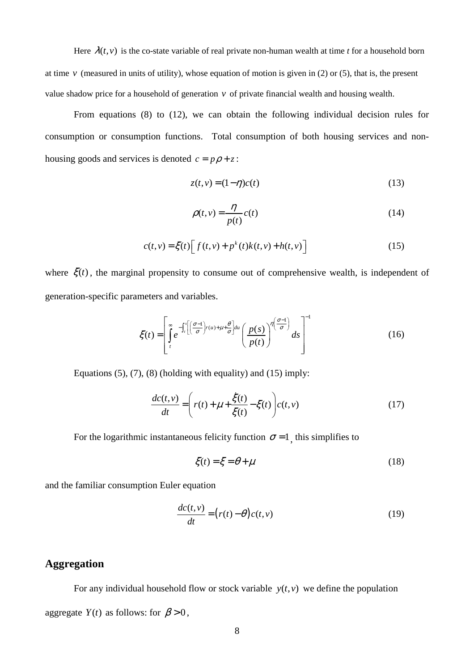Here  $\lambda(t, v)$  is the co-state variable of real private non-human wealth at time *t* for a household born at time  $\nu$  (measured in units of utility), whose equation of motion is given in (2) or (5), that is, the present value shadow price for a household of generation *v* of private financial wealth and housing wealth.

From equations (8) to (12), we can obtain the following individual decision rules for consumption or consumption functions. Total consumption of both housing services and nonhousing goods and services is denoted  $c = p\rho + z$ :

$$
z(t, v) = (1 - \eta)c(t) \tag{13}
$$

$$
\rho(t,v) = \frac{\eta}{p(t)} c(t) \tag{14}
$$

$$
c(t,v) = \xi(t) \left[ f(t,v) + p^k(t)k(t,v) + h(t,v) \right]
$$
\n(15)

where  $\xi(t)$ , the marginal propensity to consume out of comprehensive wealth, is independent of generation-specific parameters and variables.

$$
\xi(t) = \left[ \int_{t}^{\infty} e^{-\int_{t}^{s} \left[ \left( \frac{\sigma - 1}{\sigma} \right) r(u) + \mu + \frac{\theta}{\sigma} \right] du} \left( \frac{p(s)}{p(t)} \right)^{\eta \left( \frac{\sigma - 1}{\sigma} \right)} ds \right]^{-1}
$$
(16)

Equations  $(5)$ ,  $(7)$ ,  $(8)$  (holding with equality) and  $(15)$  imply:

$$
\frac{dc(t,v)}{dt} = \left(r(t) + \mu + \frac{\dot{\xi}(t)}{\xi(t)} - \xi(t)\right)c(t,v)
$$
\n(17)

For the logarithmic instantaneous felicity function  $\sigma = 1$ , this simplifies to

$$
\xi(t) = \xi = \theta + \mu \tag{18}
$$

and the familiar consumption Euler equation

$$
\frac{dc(t,v)}{dt} = (r(t) - \theta)c(t,v)
$$
\n(19)

## **Aggregation**

For any individual household flow or stock variable  $y(t, v)$  we define the population aggregate *Y*(*t*) as follows: for  $\beta > 0$ ,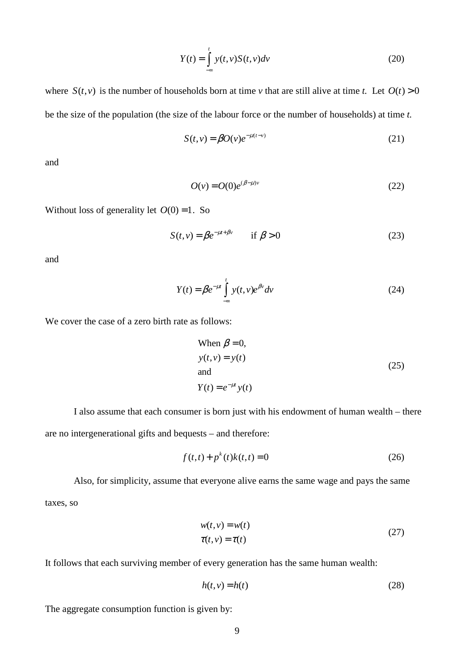$$
Y(t) = \int_{-\infty}^{t} y(t, v) S(t, v) dv
$$
\n(20)

where  $S(t, v)$  is the number of households born at time *v* that are still alive at time *t*. Let  $O(t) > 0$ be the size of the population (the size of the labour force or the number of households) at time *t.* 

$$
S(t, v) = \beta O(v)e^{-\mu(t-v)}
$$
\n(21)

and

$$
O(v) = O(0)e^{(\beta - \mu)v}
$$
\n<sup>(22)</sup>

Without loss of generality let  $O(0) = 1$ . So

$$
S(t, v) = \beta e^{-\mu t + \beta v} \qquad \text{if } \beta > 0 \tag{23}
$$

and

$$
Y(t) = \beta e^{-\mu t} \int_{-\infty}^{t} y(t, v)e^{\beta v} dv
$$
 (24)

We cover the case of a zero birth rate as follows:

When 
$$
\beta = 0
$$
,  
\n $y(t, v) = y(t)$   
\nand  
\n $Y(t) = e^{-\mu t} y(t)$  (25)

I also assume that each consumer is born just with his endowment of human wealth – there are no intergenerational gifts and bequests – and therefore:

$$
f(t,t) + p^{k}(t)k(t,t) = 0
$$
\n(26)

Also, for simplicity, assume that everyone alive earns the same wage and pays the same taxes, so

$$
w(t, v) = w(t)
$$
  
\n
$$
\tau(t, v) = \tau(t)
$$
\n(27)

It follows that each surviving member of every generation has the same human wealth:

$$
h(t, v) = h(t) \tag{28}
$$

The aggregate consumption function is given by: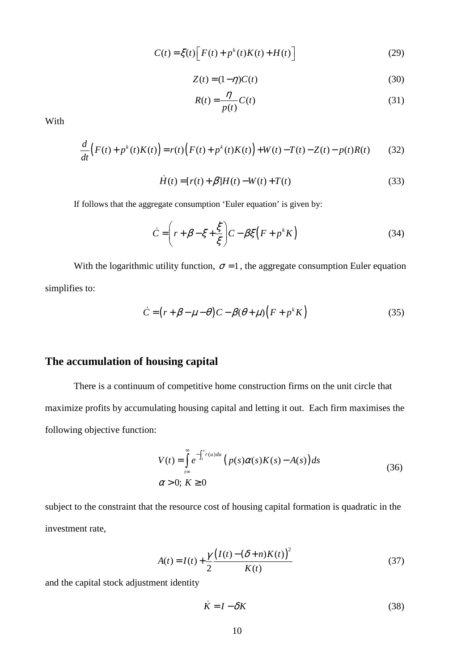$$
C(t) = \xi(t) \left[ F(t) + p^{k}(t)K(t) + H(t) \right]
$$
\n(29)

$$
Z(t) = (1 - \eta)C(t) \tag{30}
$$

$$
R(t) = \frac{\eta}{p(t)} C(t)
$$
\n(31)

With

$$
\frac{d}{dt}\Big(F(t) + p^k(t)K(t)\Big) = r(t)\Big(F(t) + p^k(t)K(t)\Big) + W(t) - T(t) - Z(t) - p(t)R(t) \tag{32}
$$

$$
\dot{H}(t) = [r(t) + \beta]H(t) - W(t) + T(t)
$$
\n(33)

If follows that the aggregate consumption 'Euler equation' is given by:

$$
\dot{C} = \left(r + \beta - \xi + \frac{\dot{\xi}}{\xi}\right)C - \beta\xi\left(F + p^k K\right)
$$
\n(34)

With the logarithmic utility function,  $\sigma = 1$ , the aggregate consumption Euler equation simplifies to:

$$
\dot{C} = (r + \beta - \mu - \theta)C - \beta(\theta + \mu)\left(F + p^k K\right)
$$
\n(35)

## **The accumulation of housing capital**

There is a continuum of competitive home construction firms on the unit circle that maximize profits by accumulating housing capital and letting it out. Each firm maximises the following objective function:

$$
V(t) = \int_{t\infty}^{\infty} e^{-\int_{t}^{s} r(u) du} \left( p(s)\alpha(s)K(s) - A(s) \right) ds
$$
  
\n
$$
\alpha > 0; K \ge 0
$$
\n(36)

subject to the constraint that the resource cost of housing capital formation is quadratic in the investment rate,

$$
A(t) = I(t) + \frac{\gamma}{2} \frac{(I(t) - (\delta + n)K(t))^2}{K(t)}
$$
(37)

and the capital stock adjustment identity

$$
\dot{K} = I - \delta K \tag{38}
$$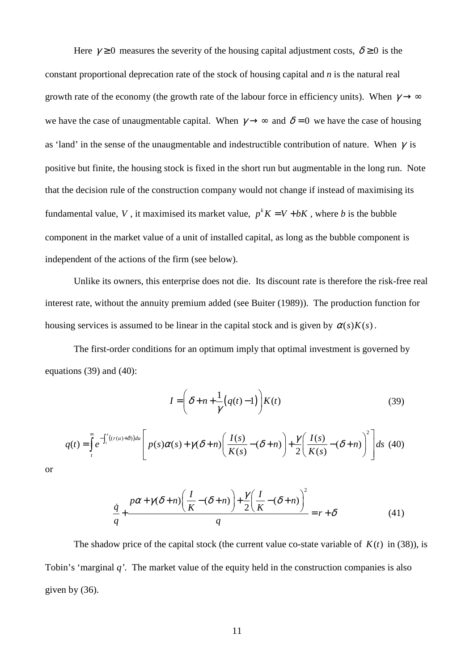Here  $\gamma \ge 0$  measures the severity of the housing capital adjustment costs,  $\delta \ge 0$  is the constant proportional deprecation rate of the stock of housing capital and *n* is the natural real growth rate of the economy (the growth rate of the labour force in efficiency units). When  $\gamma \rightarrow \infty$ we have the case of unaugmentable capital. When  $\gamma \rightarrow \infty$  and  $\delta = 0$  we have the case of housing as 'land' in the sense of the unaugmentable and indestructible contribution of nature. When  $\gamma$  is positive but finite, the housing stock is fixed in the short run but augmentable in the long run. Note that the decision rule of the construction company would not change if instead of maximising its fundamental value, V, it maximised its market value,  $p^{k} K = V + bK$ , where *b* is the bubble component in the market value of a unit of installed capital, as long as the bubble component is independent of the actions of the firm (see below).

Unlike its owners, this enterprise does not die. Its discount rate is therefore the risk-free real interest rate, without the annuity premium added (see Buiter (1989)). The production function for housing services is assumed to be linear in the capital stock and is given by  $\alpha(s)K(s)$ .

 The first-order conditions for an optimum imply that optimal investment is governed by equations (39) and (40):

$$
I = \left(\delta + n + \frac{1}{\gamma} \left(q(t) - 1\right)\right) K(t) \tag{39}
$$

$$
q(t) = \int_{t}^{\infty} e^{-\int_{t}^{s} ((r(u)+\delta))du} \left[ p(s)\alpha(s) + \gamma(\delta+n) \left( \frac{I(s)}{K(s)} - (\delta+n) \right) + \frac{\gamma}{2} \left( \frac{I(s)}{K(s)} - (\delta+n) \right)^{2} \right] ds
$$
 (40)

or

$$
\frac{\dot{q}}{q} + \frac{p\alpha + \gamma(\delta + n)\left(\frac{I}{K} - (\delta + n)\right) + \frac{\gamma}{2}\left(\frac{I}{K} - (\delta + n)\right)^2}{q} = r + \delta \tag{41}
$$

The shadow price of the capital stock (the current value co-state variable of  $K(t)$  in (38)), is Tobin's 'marginal *q'.* The market value of the equity held in the construction companies is also given by (36).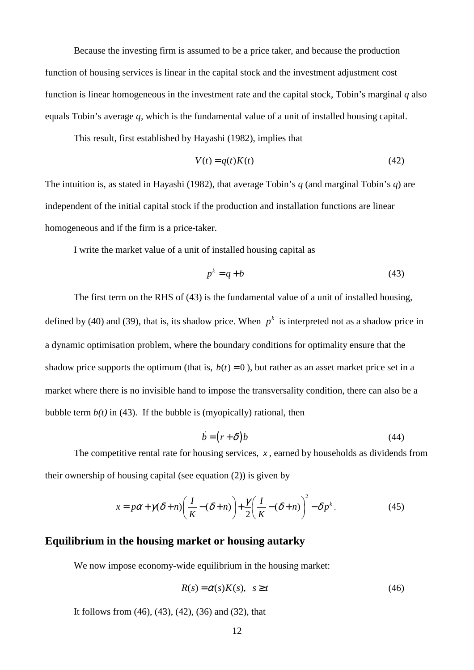Because the investing firm is assumed to be a price taker, and because the production function of housing services is linear in the capital stock and the investment adjustment cost function is linear homogeneous in the investment rate and the capital stock, Tobin's marginal *q* also equals Tobin's average *q,* which is the fundamental value of a unit of installed housing capital.

This result, first established by Hayashi (1982), implies that

$$
V(t) = q(t)K(t) \tag{42}
$$

The intuition is, as stated in Hayashi (1982), that average Tobin's *q* (and marginal Tobin's *q*) are independent of the initial capital stock if the production and installation functions are linear homogeneous and if the firm is a price-taker.

I write the market value of a unit of installed housing capital as

$$
p^k = q + b \tag{43}
$$

The first term on the RHS of (43) is the fundamental value of a unit of installed housing, defined by (40) and (39), that is, its shadow price. When  $p^k$  is interpreted not as a shadow price in a dynamic optimisation problem, where the boundary conditions for optimality ensure that the shadow price supports the optimum (that is,  $b(t) = 0$ ), but rather as an asset market price set in a market where there is no invisible hand to impose the transversality condition, there can also be a bubble term  $b(t)$  in (43). If the bubble is (myopically) rational, then

$$
\dot{b} = (r + \delta)b \tag{44}
$$

The competitive rental rate for housing services, *x* , earned by households as dividends from their ownership of housing capital (see equation (2)) is given by

$$
x = p\alpha + \gamma(\delta + n) \left(\frac{I}{K} - (\delta + n)\right) + \frac{\gamma}{2} \left(\frac{I}{K} - (\delta + n)\right)^2 - \delta p^k.
$$
 (45)

### **Equilibrium in the housing market or housing autarky**

We now impose economy-wide equilibrium in the housing market:

$$
R(s) = \alpha(s)K(s), \quad s \ge t \tag{46}
$$

It follows from (46), (43), (42), (36) and (32), that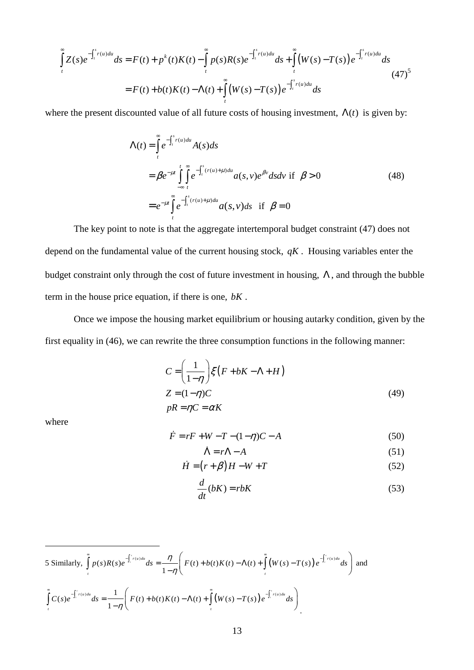$$
\int_{t}^{\infty} Z(s)e^{-\int_{t}^{s} r(u)du} ds = F(t) + p^{k}(t)K(t) - \int_{t}^{\infty} p(s)R(s)e^{-\int_{t}^{s} r(u)du} ds + \int_{t}^{\infty} (W(s) - T(s))e^{-\int_{t}^{s} r(u)du} ds
$$
\n
$$
= F(t) + b(t)K(t) - \Lambda(t) + \int_{t}^{\infty} (W(s) - T(s))e^{-\int_{t}^{s} r(u)du} ds
$$
\n(47)

where the present discounted value of all future costs of housing investment,  $\Lambda(t)$  is given by:

$$
\Lambda(t) = \int_{t}^{\infty} e^{-\int_{t}^{s} r(u) du} A(s) ds
$$
  
\n
$$
= \beta e^{-\mu t} \int_{-\infty}^{t} \int_{t}^{\infty} e^{-\int_{t}^{s} (r(u) + \mu) du} a(s, v) e^{\beta v} ds dv \text{ if } \beta > 0
$$
  
\n
$$
= e^{-\mu t} \int_{t}^{\infty} e^{-\int_{t}^{s} (r(u) + \mu) du} a(s, v) ds \text{ if } \beta = 0
$$
\n(48)

 The key point to note is that the aggregate intertemporal budget constraint (47) does not depend on the fundamental value of the current housing stock, *qK* . Housing variables enter the budget constraint only through the cost of future investment in housing,  $\Lambda$ , and through the bubble term in the house price equation, if there is one, *bK* .

 Once we impose the housing market equilibrium or housing autarky condition, given by the first equality in (46), we can rewrite the three consumption functions in the following manner:

$$
C = \left(\frac{1}{1-\eta}\right) \xi \left(F + bK - \Lambda + H\right)
$$
  
\n
$$
Z = (1-\eta)C
$$
  
\n
$$
pR = \eta C = \alpha K
$$
\n(49)

where

$$
\dot{F} = rF + W - T - (1 - \eta)C - A
$$
\n(50)

$$
\dot{\Lambda} = r\Lambda - A \tag{51}
$$

$$
\dot{H} = (r + \beta)H - W + T \tag{52}
$$

$$
\frac{d}{dt}(bK) = rbK\tag{53}
$$

$$
5 \text{ Similarly, } \int_{t}^{\infty} p(s)R(s)e^{-\int_{t}^{t} r(u)du} ds = \frac{\eta}{1-\eta} \Bigg(F(t) + b(t)K(t) - \Lambda(t) + \int_{t}^{\infty} (W(s) - T(s))e^{-\int_{t}^{t} r(u)du} ds\Bigg) \text{ and }
$$
  

$$
\int_{t}^{\infty} C(s)e^{-\int_{t}^{t} r(u)du} ds = \frac{1}{1-\eta} \Bigg(F(t) + b(t)K(t) - \Lambda(t) + \int_{t}^{\infty} (W(s) - T(s))e^{-\int_{t}^{t} r(u)du} ds\Bigg).
$$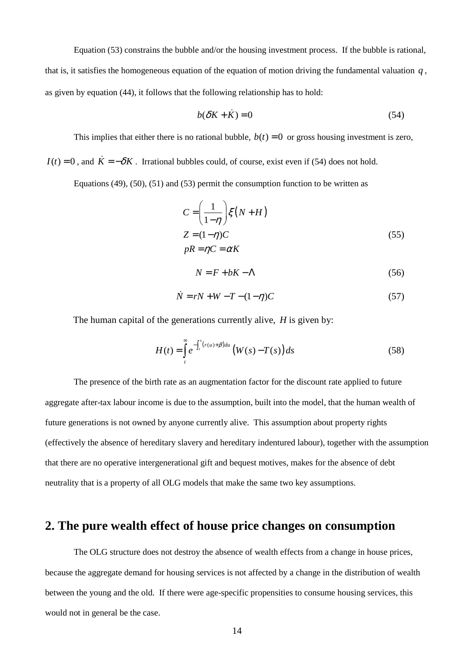Equation (53) constrains the bubble and/or the housing investment process. If the bubble is rational, that is, it satisfies the homogeneous equation of the equation of motion driving the fundamental valuation *q* , as given by equation (44), it follows that the following relationship has to hold:

$$
b(\delta K + \dot{K}) = 0 \tag{54}
$$

This implies that either there is no rational bubble,  $b(t) = 0$  or gross housing investment is zero,

 $I(t) = 0$ , and  $\dot{K} = -\delta K$ . Irrational bubbles could, of course, exist even if (54) does not hold.

Equations (49), (50), (51) and (53) permit the consumption function to be written as

$$
C = \left(\frac{1}{1-\eta}\right) \xi (N+H)
$$
  
\n
$$
Z = (1-\eta)C
$$
  
\n
$$
pR = \eta C = \alpha K
$$
\n(55)

$$
N = F + bK - \Lambda \tag{56}
$$

$$
\dot{N} = rN + W - T - (1 - \eta)C\tag{57}
$$

The human capital of the generations currently alive, *H* is given by:

$$
H(t) = \int_{t}^{\infty} e^{-\int_{t}^{s} (r(u) + \beta) du} \left( W(s) - T(s) \right) ds \tag{58}
$$

The presence of the birth rate as an augmentation factor for the discount rate applied to future aggregate after-tax labour income is due to the assumption, built into the model, that the human wealth of future generations is not owned by anyone currently alive. This assumption about property rights (effectively the absence of hereditary slavery and hereditary indentured labour), together with the assumption that there are no operative intergenerational gift and bequest motives, makes for the absence of debt neutrality that is a property of all OLG models that make the same two key assumptions.

# **2. The pure wealth effect of house price changes on consumption**

 The OLG structure does not destroy the absence of wealth effects from a change in house prices, because the aggregate demand for housing services is not affected by a change in the distribution of wealth between the young and the old. If there were age-specific propensities to consume housing services, this would not in general be the case.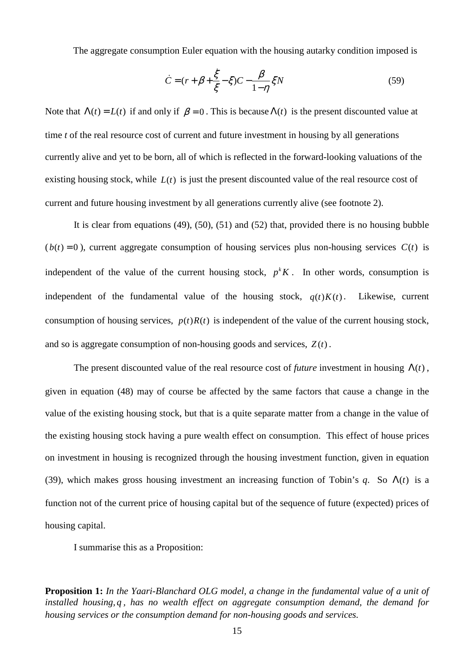The aggregate consumption Euler equation with the housing autarky condition imposed is

$$
\dot{C} = (r + \beta + \frac{\dot{\xi}}{\xi} - \xi)C - \frac{\beta}{1 - \eta} \xi N
$$
\n(59)

Note that  $\Lambda(t) = L(t)$  if and only if  $\beta = 0$ . This is because  $\Lambda(t)$  is the present discounted value at time *t* of the real resource cost of current and future investment in housing by all generations currently alive and yet to be born, all of which is reflected in the forward-looking valuations of the existing housing stock, while  $L(t)$  is just the present discounted value of the real resource cost of current and future housing investment by all generations currently alive (see footnote 2).

It is clear from equations (49), (50), (51) and (52) that, provided there is no housing bubble  $(b(t) = 0)$ , current aggregate consumption of housing services plus non-housing services  $C(t)$  is independent of the value of the current housing stock,  $p<sup>k</sup>K$ . In other words, consumption is independent of the fundamental value of the housing stock,  $q(t)K(t)$ . Likewise, current consumption of housing services,  $p(t)R(t)$  is independent of the value of the current housing stock, and so is aggregate consumption of non-housing goods and services,  $Z(t)$ .

The present discounted value of the real resource cost of *future* investment in housing  $\Lambda(t)$ , given in equation (48) may of course be affected by the same factors that cause a change in the value of the existing housing stock, but that is a quite separate matter from a change in the value of the existing housing stock having a pure wealth effect on consumption. This effect of house prices on investment in housing is recognized through the housing investment function, given in equation (39), which makes gross housing investment an increasing function of Tobin's  $q$ . So  $\Lambda(t)$  is a function not of the current price of housing capital but of the sequence of future (expected) prices of housing capital.

I summarise this as a Proposition:

**Proposition 1:** *In the Yaari-Blanchard OLG model, a change in the fundamental value of a unit of installed housing, q , has no wealth effect on aggregate consumption demand, the demand for housing services or the consumption demand for non-housing goods and services.*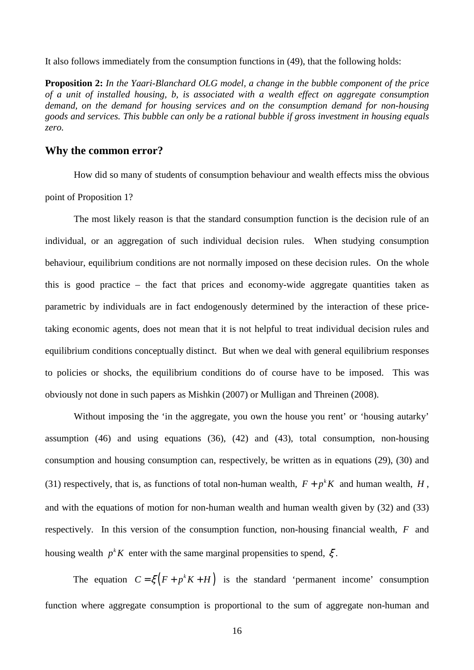It also follows immediately from the consumption functions in (49), that the following holds:

**Proposition 2:** *In the Yaari-Blanchard OLG model, a change in the bubble component of the price of a unit of installed housing, b, is associated with a wealth effect on aggregate consumption demand, on the demand for housing services and on the consumption demand for non-housing goods and services. This bubble can only be a rational bubble if gross investment in housing equals zero.* 

### **Why the common error?**

How did so many of students of consumption behaviour and wealth effects miss the obvious point of Proposition 1?

The most likely reason is that the standard consumption function is the decision rule of an individual, or an aggregation of such individual decision rules. When studying consumption behaviour, equilibrium conditions are not normally imposed on these decision rules. On the whole this is good practice – the fact that prices and economy-wide aggregate quantities taken as parametric by individuals are in fact endogenously determined by the interaction of these pricetaking economic agents, does not mean that it is not helpful to treat individual decision rules and equilibrium conditions conceptually distinct. But when we deal with general equilibrium responses to policies or shocks, the equilibrium conditions do of course have to be imposed. This was obviously not done in such papers as Mishkin (2007) or Mulligan and Threinen (2008).

Without imposing the 'in the aggregate, you own the house you rent' or 'housing autarky' assumption (46) and using equations (36), (42) and (43), total consumption, non-housing consumption and housing consumption can, respectively, be written as in equations (29), (30) and (31) respectively, that is, as functions of total non-human wealth,  $F + p<sup>k</sup>K$  and human wealth, *H*, and with the equations of motion for non-human wealth and human wealth given by (32) and (33) respectively. In this version of the consumption function, non-housing financial wealth, *F* and housing wealth  $p<sup>k</sup> K$  enter with the same marginal propensities to spend,  $\xi$ .

The equation  $C = \xi (F + p^k K + H)$  is the standard 'permanent income' consumption function where aggregate consumption is proportional to the sum of aggregate non-human and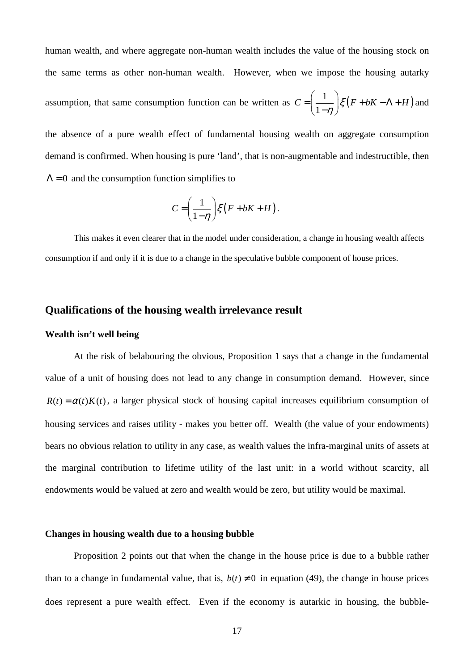human wealth, and where aggregate non-human wealth includes the value of the housing stock on the same terms as other non-human wealth. However, when we impose the housing autarky assumption, that same consumption function can be written as  $C = \left( \frac{1}{1 - \eta} \right) \xi \left( F + bK - \Lambda + H \right)$  $C = \frac{1}{\epsilon}$   $\frac{1}{5}(F + bK - \Lambda + H)$  $=\left(\frac{1}{1-\eta}\right)\xi(F+bK-\Lambda+bK)$ and the absence of a pure wealth effect of fundamental housing wealth on aggregate consumption

demand is confirmed. When housing is pure 'land', that is non-augmentable and indestructible, then  $\Lambda = 0$  and the consumption function simplifies to

$$
C = \left(\frac{1}{1-\eta}\right) \xi \left(F + bK + H\right).
$$

This makes it even clearer that in the model under consideration, a change in housing wealth affects consumption if and only if it is due to a change in the speculative bubble component of house prices.

### **Qualifications of the housing wealth irrelevance result**

#### **Wealth isn't well being**

At the risk of belabouring the obvious, Proposition 1 says that a change in the fundamental value of a unit of housing does not lead to any change in consumption demand. However, since  $R(t) = \alpha(t) K(t)$ , a larger physical stock of housing capital increases equilibrium consumption of housing services and raises utility - makes you better off. Wealth (the value of your endowments) bears no obvious relation to utility in any case, as wealth values the infra-marginal units of assets at the marginal contribution to lifetime utility of the last unit: in a world without scarcity, all endowments would be valued at zero and wealth would be zero, but utility would be maximal.

#### **Changes in housing wealth due to a housing bubble**

Proposition 2 points out that when the change in the house price is due to a bubble rather than to a change in fundamental value, that is,  $b(t) \neq 0$  in equation (49), the change in house prices does represent a pure wealth effect. Even if the economy is autarkic in housing, the bubble-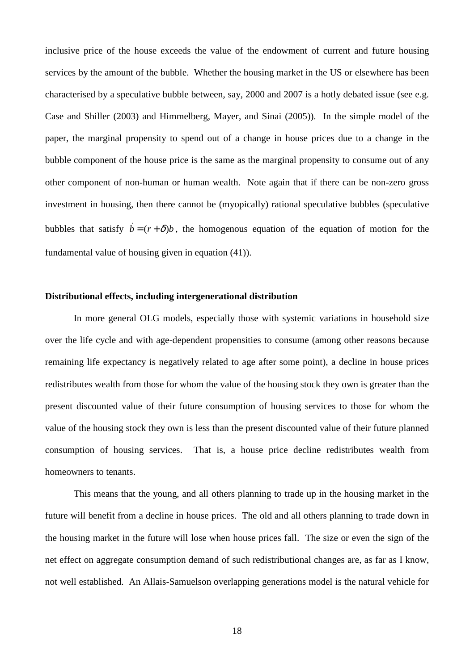inclusive price of the house exceeds the value of the endowment of current and future housing services by the amount of the bubble. Whether the housing market in the US or elsewhere has been characterised by a speculative bubble between, say, 2000 and 2007 is a hotly debated issue (see e.g. Case and Shiller (2003) and Himmelberg, Mayer, and Sinai (2005)). In the simple model of the paper, the marginal propensity to spend out of a change in house prices due to a change in the bubble component of the house price is the same as the marginal propensity to consume out of any other component of non-human or human wealth. Note again that if there can be non-zero gross investment in housing, then there cannot be (myopically) rational speculative bubbles (speculative bubbles that satisfy  $\dot{b} = (r + \delta)b$ , the homogenous equation of the equation of motion for the fundamental value of housing given in equation (41)).

### **Distributional effects, including intergenerational distribution**

In more general OLG models, especially those with systemic variations in household size over the life cycle and with age-dependent propensities to consume (among other reasons because remaining life expectancy is negatively related to age after some point), a decline in house prices redistributes wealth from those for whom the value of the housing stock they own is greater than the present discounted value of their future consumption of housing services to those for whom the value of the housing stock they own is less than the present discounted value of their future planned consumption of housing services. That is, a house price decline redistributes wealth from homeowners to tenants.

This means that the young, and all others planning to trade up in the housing market in the future will benefit from a decline in house prices. The old and all others planning to trade down in the housing market in the future will lose when house prices fall. The size or even the sign of the net effect on aggregate consumption demand of such redistributional changes are, as far as I know, not well established. An Allais-Samuelson overlapping generations model is the natural vehicle for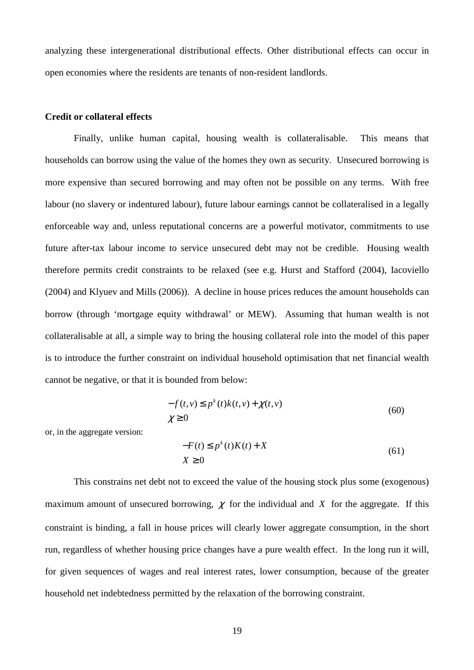analyzing these intergenerational distributional effects. Other distributional effects can occur in open economies where the residents are tenants of non-resident landlords.

#### **Credit or collateral effects**

Finally, unlike human capital, housing wealth is collateralisable. This means that households can borrow using the value of the homes they own as security. Unsecured borrowing is more expensive than secured borrowing and may often not be possible on any terms. With free labour (no slavery or indentured labour), future labour earnings cannot be collateralised in a legally enforceable way and, unless reputational concerns are a powerful motivator, commitments to use future after-tax labour income to service unsecured debt may not be credible. Housing wealth therefore permits credit constraints to be relaxed (see e.g. Hurst and Stafford (2004), Iacoviello (2004) and Klyuev and Mills (2006)). A decline in house prices reduces the amount households can borrow (through 'mortgage equity withdrawal' or MEW). Assuming that human wealth is not collateralisable at all, a simple way to bring the housing collateral role into the model of this paper is to introduce the further constraint on individual household optimisation that net financial wealth cannot be negative, or that it is bounded from below:

$$
-f(t, v) \le p^k(t)k(t, v) + \chi(t, v)
$$
  
 
$$
\chi \ge 0
$$
 (60)

or, in the aggregate version:

$$
-F(t) \le p^k(t)K(t) + X
$$
  

$$
X \ge 0
$$
 (61)

This constrains net debt not to exceed the value of the housing stock plus some (exogenous) maximum amount of unsecured borrowing,  $\chi$  for the individual and  $\chi$  for the aggregate. If this constraint is binding, a fall in house prices will clearly lower aggregate consumption, in the short run, regardless of whether housing price changes have a pure wealth effect. In the long run it will, for given sequences of wages and real interest rates, lower consumption, because of the greater household net indebtedness permitted by the relaxation of the borrowing constraint.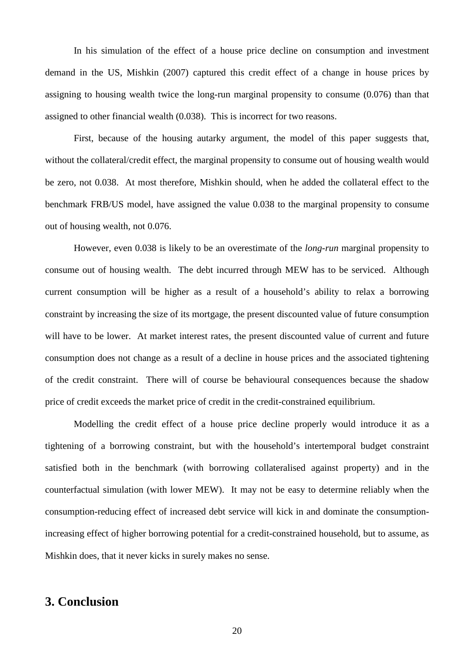In his simulation of the effect of a house price decline on consumption and investment demand in the US, Mishkin (2007) captured this credit effect of a change in house prices by assigning to housing wealth twice the long-run marginal propensity to consume (0.076) than that assigned to other financial wealth (0.038). This is incorrect for two reasons.

First, because of the housing autarky argument, the model of this paper suggests that, without the collateral/credit effect, the marginal propensity to consume out of housing wealth would be zero, not 0.038. At most therefore, Mishkin should, when he added the collateral effect to the benchmark FRB/US model, have assigned the value 0.038 to the marginal propensity to consume out of housing wealth, not 0.076.

However, even 0.038 is likely to be an overestimate of the *long-run* marginal propensity to consume out of housing wealth. The debt incurred through MEW has to be serviced. Although current consumption will be higher as a result of a household's ability to relax a borrowing constraint by increasing the size of its mortgage, the present discounted value of future consumption will have to be lower. At market interest rates, the present discounted value of current and future consumption does not change as a result of a decline in house prices and the associated tightening of the credit constraint. There will of course be behavioural consequences because the shadow price of credit exceeds the market price of credit in the credit-constrained equilibrium.

Modelling the credit effect of a house price decline properly would introduce it as a tightening of a borrowing constraint, but with the household's intertemporal budget constraint satisfied both in the benchmark (with borrowing collateralised against property) and in the counterfactual simulation (with lower MEW). It may not be easy to determine reliably when the consumption-reducing effect of increased debt service will kick in and dominate the consumptionincreasing effect of higher borrowing potential for a credit-constrained household, but to assume, as Mishkin does, that it never kicks in surely makes no sense.

# **3. Conclusion**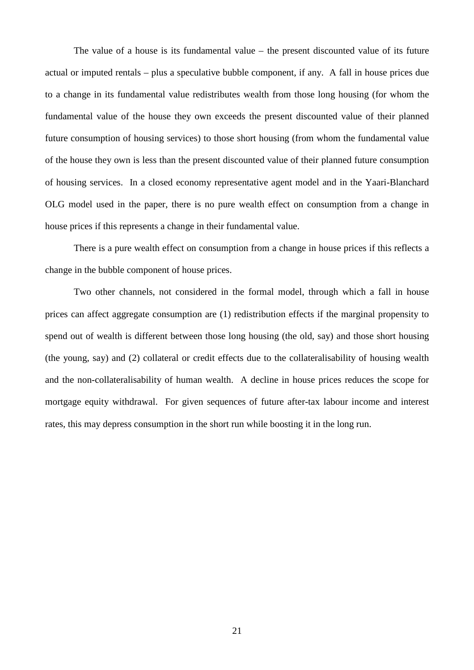The value of a house is its fundamental value – the present discounted value of its future actual or imputed rentals – plus a speculative bubble component, if any. A fall in house prices due to a change in its fundamental value redistributes wealth from those long housing (for whom the fundamental value of the house they own exceeds the present discounted value of their planned future consumption of housing services) to those short housing (from whom the fundamental value of the house they own is less than the present discounted value of their planned future consumption of housing services. In a closed economy representative agent model and in the Yaari-Blanchard OLG model used in the paper, there is no pure wealth effect on consumption from a change in house prices if this represents a change in their fundamental value.

 There is a pure wealth effect on consumption from a change in house prices if this reflects a change in the bubble component of house prices.

 Two other channels, not considered in the formal model, through which a fall in house prices can affect aggregate consumption are (1) redistribution effects if the marginal propensity to spend out of wealth is different between those long housing (the old, say) and those short housing (the young, say) and (2) collateral or credit effects due to the collateralisability of housing wealth and the non-collateralisability of human wealth. A decline in house prices reduces the scope for mortgage equity withdrawal. For given sequences of future after-tax labour income and interest rates, this may depress consumption in the short run while boosting it in the long run.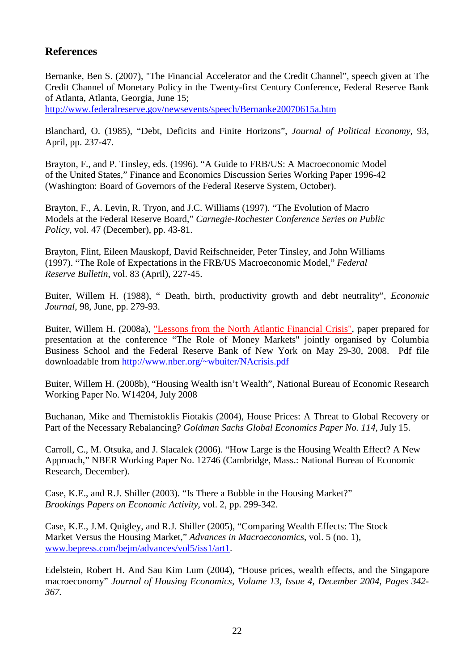# **References**

Bernanke, Ben S. (2007), "The Financial Accelerator and the Credit Channel", speech given at The Credit Channel of Monetary Policy in the Twenty-first Century Conference, Federal Reserve Bank of Atlanta, Atlanta, Georgia, June 15;

http://www.federalreserve.gov/newsevents/speech/Bernanke20070615a.htm

Blanchard, O. (1985), "Debt, Deficits and Finite Horizons", *Journal of Political Economy*, 93, April, pp. 237-47.

Brayton, F., and P. Tinsley, eds. (1996). "A Guide to FRB/US: A Macroeconomic Model of the United States," Finance and Economics Discussion Series Working Paper 1996-42 (Washington: Board of Governors of the Federal Reserve System, October).

Brayton, F., A. Levin, R. Tryon, and J.C. Williams (1997). "The Evolution of Macro Models at the Federal Reserve Board," *Carnegie-Rochester Conference Series on Public Policy*, vol. 47 (December), pp. 43-81.

Brayton, Flint, Eileen Mauskopf, David Reifschneider, Peter Tinsley, and John Williams (1997). "The Role of Expectations in the FRB/US Macroeconomic Model," *Federal Reserve Bulletin*, vol. 83 (April), 227-45.

Buiter, Willem H. (1988), " Death, birth, productivity growth and debt neutrality", *Economic Journal*, 98, June, pp. 279-93.

Buiter, Willem H. (2008a), "Lessons from the North Atlantic Financial Crisis", paper prepared for presentation at the conference "The Role of Money Markets" jointly organised by Columbia Business School and the Federal Reserve Bank of New York on May 29-30, 2008. Pdf file downloadable from http://www.nber.org/~wbuiter/NAcrisis.pdf

Buiter, Willem H. (2008b), "Housing Wealth isn't Wealth", National Bureau of Economic Research Working Paper No. W14204, July 2008

Buchanan, Mike and Themistoklis Fiotakis (2004), House Prices: A Threat to Global Recovery or Part of the Necessary Rebalancing? *Goldman Sachs Global Economics Paper No. 114*, July 15.

Carroll, C., M. Otsuka, and J. Slacalek (2006). "How Large is the Housing Wealth Effect? A New Approach," NBER Working Paper No. 12746 (Cambridge, Mass.: National Bureau of Economic Research, December).

Case, K.E., and R.J. Shiller (2003). "Is There a Bubble in the Housing Market?" *Brookings Papers on Economic Activity*, vol. 2, pp. 299-342.

Case, K.E., J.M. Quigley, and R.J. Shiller (2005), "Comparing Wealth Effects: The Stock Market Versus the Housing Market," *Advances in Macroeconomics*, vol. 5 (no. 1), www.bepress.com/bejm/advances/vol5/iss1/art1.

Edelstein, Robert H. And Sau Kim Lum (2004), "House prices, wealth effects, and the Singapore macroeconomy" *Journal of Housing Economics, Volume 13, Issue 4, December 2004, Pages 342- 367.*